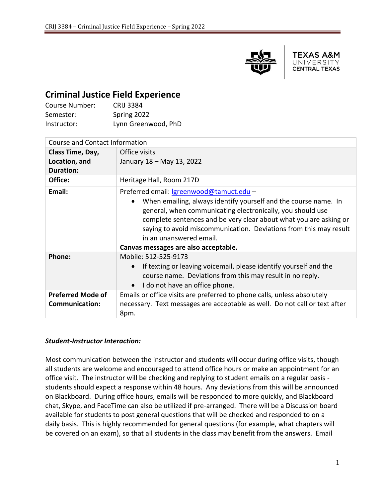

TEXAS A&M UNIVERSITY **CENTRAL TEXAS** 

## **Criminal Justice Field Experience**

| Course Number: | <b>CRIJ 3384</b>    |
|----------------|---------------------|
| Semester:      | Spring 2022         |
| Instructor:    | Lynn Greenwood, PhD |

| <b>Course and Contact Information</b>             |                                                                                                                                                                                                                                                                                                                                                                                               |
|---------------------------------------------------|-----------------------------------------------------------------------------------------------------------------------------------------------------------------------------------------------------------------------------------------------------------------------------------------------------------------------------------------------------------------------------------------------|
| Class Time, Day,                                  | Office visits                                                                                                                                                                                                                                                                                                                                                                                 |
| Location, and                                     | January 18 – May 13, 2022                                                                                                                                                                                                                                                                                                                                                                     |
| <b>Duration:</b>                                  |                                                                                                                                                                                                                                                                                                                                                                                               |
| Office:                                           | Heritage Hall, Room 217D                                                                                                                                                                                                                                                                                                                                                                      |
| Email:                                            | Preferred email: <u>Igreenwood@tamuct.edu</u> -<br>When emailing, always identify yourself and the course name. In<br>general, when communicating electronically, you should use<br>complete sentences and be very clear about what you are asking or<br>saying to avoid miscommunication. Deviations from this may result<br>in an unanswered email.<br>Canvas messages are also acceptable. |
| Phone:                                            | Mobile: 512-525-9173<br>If texting or leaving voicemail, please identify yourself and the<br>course name. Deviations from this may result in no reply.<br>I do not have an office phone.                                                                                                                                                                                                      |
| <b>Preferred Mode of</b><br><b>Communication:</b> | Emails or office visits are preferred to phone calls, unless absolutely<br>necessary. Text messages are acceptable as well. Do not call or text after<br>8pm.                                                                                                                                                                                                                                 |

#### *Student-Instructor Interaction:*

Most communication between the instructor and students will occur during office visits, though all students are welcome and encouraged to attend office hours or make an appointment for an office visit. The instructor will be checking and replying to student emails on a regular basis students should expect a response within 48 hours. Any deviations from this will be announced on Blackboard. During office hours, emails will be responded to more quickly, and Blackboard chat, Skype, and FaceTime can also be utilized if pre-arranged. There will be a Discussion board available for students to post general questions that will be checked and responded to on a daily basis. This is highly recommended for general questions (for example, what chapters will be covered on an exam), so that all students in the class may benefit from the answers. Email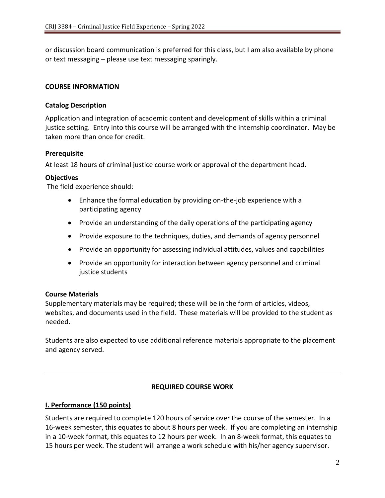or discussion board communication is preferred for this class, but I am also available by phone or text messaging – please use text messaging sparingly.

#### **COURSE INFORMATION**

#### **Catalog Description**

Application and integration of academic content and development of skills within a criminal justice setting. Entry into this course will be arranged with the internship coordinator. May be taken more than once for credit.

#### **Prerequisite**

At least 18 hours of criminal justice course work or approval of the department head.

#### **Objectives**

The field experience should:

- Enhance the formal education by providing on-the-job experience with a participating agency
- Provide an understanding of the daily operations of the participating agency
- Provide exposure to the techniques, duties, and demands of agency personnel
- Provide an opportunity for assessing individual attitudes, values and capabilities
- Provide an opportunity for interaction between agency personnel and criminal justice students

#### **Course Materials**

Supplementary materials may be required; these will be in the form of articles, videos, websites, and documents used in the field. These materials will be provided to the student as needed.

Students are also expected to use additional reference materials appropriate to the placement and agency served.

#### **REQUIRED COURSE WORK**

#### **I. Performance (150 points)**

Students are required to complete 120 hours of service over the course of the semester. In a 16-week semester, this equates to about 8 hours per week. If you are completing an internship in a 10-week format, this equates to 12 hours per week. In an 8-week format, this equates to 15 hours per week. The student will arrange a work schedule with his/her agency supervisor.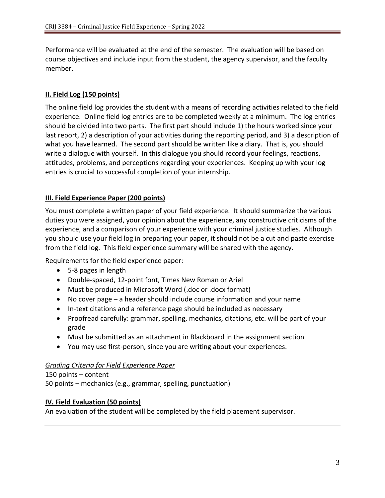Performance will be evaluated at the end of the semester. The evaluation will be based on course objectives and include input from the student, the agency supervisor, and the faculty member.

#### **II. Field Log (150 points)**

The online field log provides the student with a means of recording activities related to the field experience. Online field log entries are to be completed weekly at a minimum. The log entries should be divided into two parts. The first part should include 1) the hours worked since your last report, 2) a description of your activities during the reporting period, and 3) a description of what you have learned. The second part should be written like a diary. That is, you should write a dialogue with yourself. In this dialogue you should record your feelings, reactions, attitudes, problems, and perceptions regarding your experiences. Keeping up with your log entries is crucial to successful completion of your internship.

#### **III. Field Experience Paper (200 points)**

You must complete a written paper of your field experience. It should summarize the various duties you were assigned, your opinion about the experience, any constructive criticisms of the experience, and a comparison of your experience with your criminal justice studies. Although you should use your field log in preparing your paper, it should not be a cut and paste exercise from the field log. This field experience summary will be shared with the agency.

Requirements for the field experience paper:

- 5-8 pages in length
- Double-spaced, 12-point font, Times New Roman or Ariel
- Must be produced in Microsoft Word (.doc or .docx format)
- No cover page a header should include course information and your name
- In-text citations and a reference page should be included as necessary
- Proofread carefully: grammar, spelling, mechanics, citations, etc. will be part of your grade
- Must be submitted as an attachment in Blackboard in the assignment section
- You may use first-person, since you are writing about your experiences.

#### *Grading Criteria for Field Experience Paper*

150 points – content 50 points – mechanics (e.g., grammar, spelling, punctuation)

#### **IV. Field Evaluation (50 points)**

An evaluation of the student will be completed by the field placement supervisor.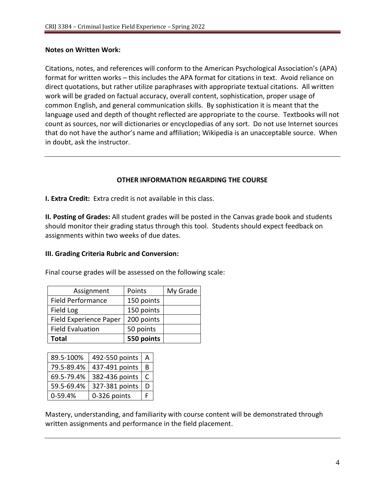#### **Notes on Written Work:**

Citations, notes, and references will conform to the American Psychological Association's (APA) format for written works – this includes the APA format for citations in text. Avoid reliance on direct quotations, but rather utilize paraphrases with appropriate textual citations. All written work will be graded on factual accuracy, overall content, sophistication, proper usage of common English, and general communication skills. By sophistication it is meant that the language used and depth of thought reflected are appropriate to the course. Textbooks will not count as sources, nor will dictionaries or encyclopedias of any sort. Do not use Internet sources that do not have the author's name and affiliation; Wikipedia is an unacceptable source. When in doubt, ask the instructor.

#### **OTHER INFORMATION REGARDING THE COURSE**

**I. Extra Credit:** Extra credit is not available in this class.

**II. Posting of Grades:** All student grades will be posted in the Canvas grade book and students should monitor their grading status through this tool. Students should expect feedback on assignments within two weeks of due dates.

#### **III. Grading Criteria Rubric and Conversion:**

Final course grades will be assessed on the following scale:

| Assignment                    | Points     | My Grade |
|-------------------------------|------------|----------|
| <b>Field Performance</b>      | 150 points |          |
| Field Log                     | 150 points |          |
| <b>Field Experience Paper</b> | 200 points |          |
| <b>Field Evaluation</b>       | 50 points  |          |
| <b>Total</b>                  | 550 points |          |

| 89.5-100%  | 492-550 points | А |
|------------|----------------|---|
| 79.5-89.4% | 437-491 points | R |
| 69.5-79.4% | 382-436 points | C |
| 59.5-69.4% | 327-381 points | D |
| 0-59.4%    | 0-326 points   |   |

Mastery, understanding, and familiarity with course content will be demonstrated through written assignments and performance in the field placement.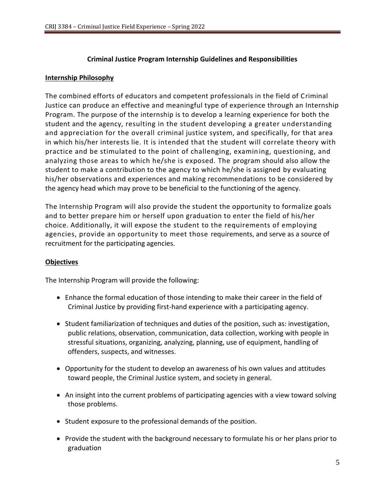#### **Criminal Justice Program Internship Guidelines and Responsibilities**

#### **Internship Philosophy**

The combined efforts of educators and competent professionals in the field of Criminal Justice can produce an effective and meaningful type of experience through an Internship Program. The purpose of the internship is to develop a learning experience for both the student and the agency, resulting in the student developing a greater understanding and appreciation for the overall criminal justice system, and specifically, for that area in which his/her interests lie. It is intended that the student will correlate theory with practice and be stimulated to the point of challenging, examining, questioning, and analyzing those areas to which he/she is exposed. The program should also allow the student to make a contribution to the agency to which he/she is assigned by evaluating his/her observations and experiences and making recommendations to be considered by the agency head which may prove to be beneficial to the functioning of the agency.

The Internship Program will also provide the student the opportunity to formalize goals and to better prepare him or herself upon graduation to enter the field of his/her choice. Additionally, it will expose the student to the requirements of employing agencies, provide an opportunity to meet those requirements, and serve as a source of recruitment for the participating agencies.

#### **Objectives**

The Internship Program will provide the following:

- Enhance the formal education of those intending to make their career in the field of Criminal Justice by providing first-hand experience with a participating agency.
- Student familiarization of techniques and duties of the position, such as: investigation, public relations, observation, communication, data collection, working with people in stressful situations, organizing, analyzing, planning, use of equipment, handling of offenders, suspects, and witnesses.
- Opportunity for the student to develop an awareness of his own values and attitudes toward people, the Criminal Justice system, and society in general.
- An insight into the current problems of participating agencies with a view toward solving those problems.
- Student exposure to the professional demands of the position.
- Provide the student with the background necessary to formulate his or her plans prior to graduation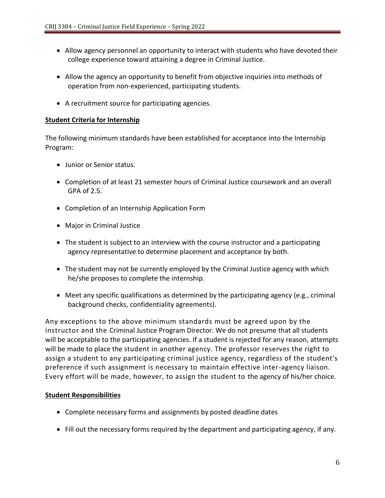- Allow agency personnel an opportunity to interact with students who have devoted their college experience toward attaining a degree in Criminal Justice.
- Allow the agency an opportunity to benefit from objective inquiries into methods of operation from non-experienced, participating students.
- A recruitment source for participating agencies.

#### **Student Criteria for Internship**

The following minimum standards have been established for acceptance into the Internship Program:

- Junior or Senior status.
- Completion of at least 21 semester hours of Criminal Justice coursework and an overall GPA of 2.5.
- Completion of an Internship Application Form
- Major in Criminal Justice
- The student is subject to an interview with the course instructor and a participating agency representative to determine placement and acceptance by both.
- The student may not be currently employed by the Criminal Justice agency with which he/she proposes to complete the internship.
- Meet any specific qualifications as determined by the participating agency (e.g., criminal background checks, confidentiality agreements).

Any exceptions to the above minimum standards must be agreed upon by the instructor and the Criminal Justice Program Director. We do not presume that all students will be acceptable to the participating agencies. If a student is rejected for any reason, attempts will be made to place the student in another agency. The professor reserves the right to assign a student to any participating criminal justice agency, regardless of the student's preference if such assignment is necessary to maintain effective inter-agency liaison. Every effort will be made, however, to assign the student to the agency of his/her choice.

#### **Student Responsibilities**

- Complete necessary forms and assignments by posted deadline dates
- Fill out the necessary forms required by the department and participating agency, if any.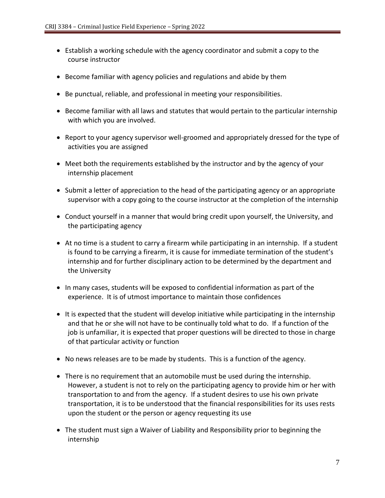- Establish a working schedule with the agency coordinator and submit a copy to the course instructor
- Become familiar with agency policies and regulations and abide by them
- Be punctual, reliable, and professional in meeting your responsibilities.
- Become familiar with all laws and statutes that would pertain to the particular internship with which you are involved.
- Report to your agency supervisor well-groomed and appropriately dressed for the type of activities you are assigned
- Meet both the requirements established by the instructor and by the agency of your internship placement
- Submit a letter of appreciation to the head of the participating agency or an appropriate supervisor with a copy going to the course instructor at the completion of the internship
- Conduct yourself in a manner that would bring credit upon yourself, the University, and the participating agency
- At no time is a student to carry a firearm while participating in an internship. If a student is found to be carrying a firearm, it is cause for immediate termination of the student's internship and for further disciplinary action to be determined by the department and the University
- In many cases, students will be exposed to confidential information as part of the experience. It is of utmost importance to maintain those confidences
- It is expected that the student will develop initiative while participating in the internship and that he or she will not have to be continually told what to do. If a function of the job is unfamiliar, it is expected that proper questions will be directed to those in charge of that particular activity or function
- No news releases are to be made by students. This is a function of the agency.
- There is no requirement that an automobile must be used during the internship. However, a student is not to rely on the participating agency to provide him or her with transportation to and from the agency. If a student desires to use his own private transportation, it is to be understood that the financial responsibilities for its uses rests upon the student or the person or agency requesting its use
- The student must sign a Waiver of Liability and Responsibility prior to beginning the internship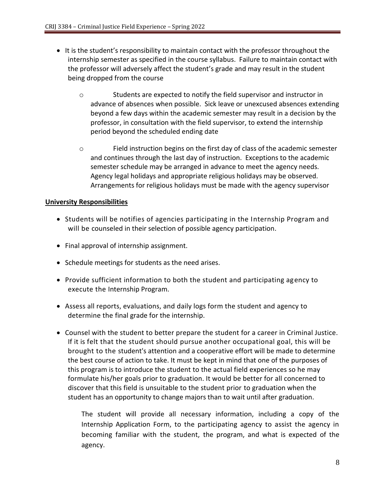- It is the student's responsibility to maintain contact with the professor throughout the internship semester as specified in the course syllabus. Failure to maintain contact with the professor will adversely affect the student's grade and may result in the student being dropped from the course
	- o Students are expected to notify the field supervisor and instructor in advance of absences when possible. Sick leave or unexcused absences extending beyond a few days within the academic semester may result in a decision by the professor, in consultation with the field supervisor, to extend the internship period beyond the scheduled ending date
	- o Field instruction begins on the first day of class of the academic semester and continues through the last day of instruction. Exceptions to the academic semester schedule may be arranged in advance to meet the agency needs. Agency legal holidays and appropriate religious holidays may be observed. Arrangements for religious holidays must be made with the agency supervisor

#### **University Responsibilities**

- Students will be notifies of agencies participating in the Internship Program and will be counseled in their selection of possible agency participation.
- Final approval of internship assignment.
- Schedule meetings for students as the need arises.
- Provide sufficient information to both the student and participating agency to execute the Internship Program.
- Assess all reports, evaluations, and daily logs form the student and agency to determine the final grade for the internship.
- Counsel with the student to better prepare the student for a career in Criminal Justice. If it is felt that the student should pursue another occupational goal, this will be brought to the student's attention and a cooperative effort will be made to determine the best course of action to take. It must be kept in mind that one of the purposes of this program is to introduce the student to the actual field experiences so he may formulate his/her goals prior to graduation. It would be better for all concerned to discover that this field is unsuitable to the student prior to graduation when the student has an opportunity to change majors than to wait until after graduation.

The student will provide all necessary information, including a copy of the Internship Application Form, to the participating agency to assist the agency in becoming familiar with the student, the program, and what is expected of the agency.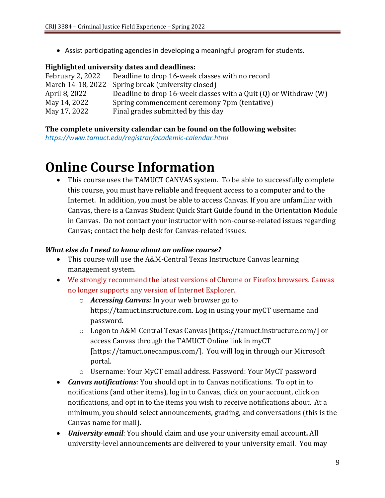• Assist participating agencies in developing a meaningful program for students.

#### **Highlighted university dates and deadlines:**

| February 2, 2022 | Deadline to drop 16-week classes with no record                      |
|------------------|----------------------------------------------------------------------|
|                  | March 14-18, 2022 Spring break (university closed)                   |
| April 8, 2022    | Deadline to drop 16-week classes with a Quit $(Q)$ or Withdraw $(W)$ |
| May 14, 2022     | Spring commencement ceremony 7pm (tentative)                         |
| May 17, 2022     | Final grades submitted by this day                                   |

#### **The complete university calendar can be found on the following website:**

*https://www.tamuct.edu/registrar/academic-calendar.html*

## **Online Course Information**

• This course uses the TAMUCT CANVAS system. To be able to successfully complete this course, you must have reliable and frequent access to a computer and to the Internet. In addition, you must be able to access Canvas. If you are unfamiliar with Canvas, there is a Canvas Student Quick Start Guide found in the Orientation Module in Canvas. Do not contact your instructor with non-course-related issues regarding Canvas; contact the help desk for Canvas-related issues.

#### *What else do I need to know about an online course?*

- This course will use the A&M-Central Texas Instructure Canvas learning management system.
- We strongly recommend the latest versions of Chrome or Firefox browsers. Canvas no longer supports any version of Internet Explorer.
	- o *Accessing Canvas:* In your web browser go to https://tamuct.instructure.com. Log in using your myCT username and password.
	- o Logon to A&M-Central Texas Canvas [https://tamuct.instructure.com/] or access Canvas through the TAMUCT Online link in myCT [https://tamuct.onecampus.com/]. You will log in through our Microsoft portal.
	- o Username: Your MyCT email address. Password: Your MyCT password
- *Canvas notifications:* You should opt in to Canvas notifications. To opt in to notifications (and other items), log in to Canvas, click on your account, click on notifications, and opt in to the items you wish to receive notifications about. At a minimum, you should select announcements, grading, and conversations (this is the Canvas name for mail).
- *University email*: You should claim and use your university email account**.** All university-level announcements are delivered to your university email. You may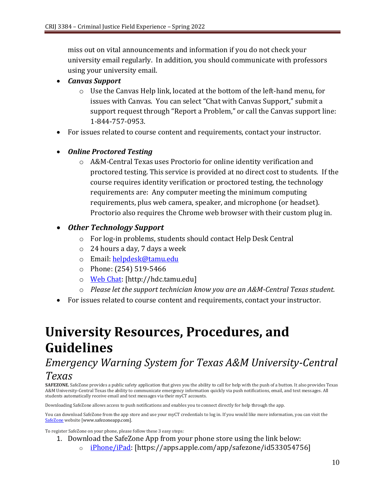miss out on vital announcements and information if you do not check your university email regularly. In addition, you should communicate with professors using your university email.

- *Canvas Support*
	- o Use the Canvas Help link, located at the bottom of the left-hand menu, for issues with Canvas. You can select "Chat with Canvas Support," submit a support request through "Report a Problem," or call the Canvas support line: 1-844-757-0953.
- For issues related to course content and requirements, contact your instructor.
- *Online Proctored Testing* 
	- o A&M-Central Texas uses Proctorio for online identity verification and proctored testing. This service is provided at no direct cost to students. If the course requires identity verification or proctored testing, the technology requirements are: Any computer meeting the minimum computing requirements, plus web camera, speaker, and microphone (or headset). Proctorio also requires the Chrome web browser with their custom plug in.

### • *Other Technology Support*

- o For log-in problems, students should contact Help Desk Central
- o 24 hours a day, 7 days a week
- o Email: [helpdesk@tamu.edu](mailto:helpdesk@tamu.edu)
- o Phone: (254) 519-5466
- o [Web Chat:](http://hdc.tamu.edu/) [http://hdc.tamu.edu]
- o *Please let the support technician know you are an A&M-Central Texas student.*
- For issues related to course content and requirements, contact your instructor.

# **University Resources, Procedures, and Guidelines**

## *Emergency Warning System for Texas A&M University-Central Texas*

**SAFEZONE.** SafeZone provides a public safety application that gives you the ability to call for help with the push of a button. It also provides Texas A&M University-Central Texas the ability to communicate emergency information quickly via push notifications, email, and text messages. All students automatically receive email and text messages via their myCT accounts.

Downloading SafeZone allows access to push notifications and enables you to connect directly for help through the app.

You can download SafeZone from the app store and use your myCT credentials to log in. If you would like more information, you can visit the [SafeZone](http://www.safezoneapp.com/) website [www.safezoneapp.com].

To register SafeZone on your phone, please follow these 3 easy steps*:*

- 1. Download the SafeZone App from your phone store using the link below:
	- o [iPhone/iPad:](https://apps.apple.com/app/safezone/id533054756) [https://apps.apple.com/app/safezone/id533054756]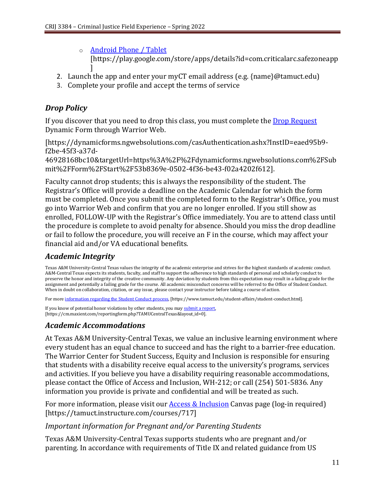- o [Android Phone / Tablet](https://play.google.com/store/apps/details?id=com.criticalarc.safezoneapp) [https://play.google.com/store/apps/details?id=com.criticalarc.safezoneapp ]
- 2. Launch the app and enter your myCT email address (e.g. {name}@tamuct.edu)
- 3. Complete your profile and accept the terms of service

## *Drop Policy*

If you discover that you need to drop this class, you must complete the **Drop Request** Dynamic Form through Warrior Web.

[https://dynamicforms.ngwebsolutions.com/casAuthentication.ashx?InstID=eaed95b9 f2be-45f3-a37d-

46928168bc10&targetUrl=https%3A%2F%2Fdynamicforms.ngwebsolutions.com%2FSub mit%2FForm%2FStart%2F53b8369e-0502-4f36-be43-f02a4202f612].

Faculty cannot drop students; this is always the responsibility of the student. The Registrar's Office will provide a deadline on the Academic Calendar for which the form must be completed. Once you submit the completed form to the Registrar's Office, you must go into Warrior Web and confirm that you are no longer enrolled. If you still show as enrolled, FOLLOW-UP with the Registrar's Office immediately. You are to attend class until the procedure is complete to avoid penalty for absence. Should you miss the drop deadline or fail to follow the procedure, you will receive an F in the course, which may affect your financial aid and/or VA educational benefits.

## *Academic Integrity*

Texas A&M University-Central Texas values the integrity of the academic enterprise and strives for the highest standards of academic conduct. A&M-Central Texas expects its students, faculty, and staff to support the adherence to high standards of personal and scholarly conduct to preserve the honor and integrity of the creative community. Any deviation by students from this expectation may result in a failing grade for the assignment and potentially a failing grade for the course. All academic misconduct concerns will be referred to the Office of Student Conduct. When in doubt on collaboration, citation, or any issue, please contact your instructor before taking a course of action.

For more [information](https://nam04.safelinks.protection.outlook.com/?url=https%3A%2F%2Fwww.tamuct.edu%2Fstudent-affairs%2Fstudent-conduct.html&data=04%7C01%7Clisa.bunkowski%40tamuct.edu%7Ccfb6e486f24745f53e1a08d910055cb2%7C9eed4e3000f744849ff193ad8005acec%7C0%7C0%7C637558437485252160%7CUnknown%7CTWFpbGZsb3d8eyJWIjoiMC4wLjAwMDAiLCJQIjoiV2luMzIiLCJBTiI6Ik1haWwiLCJXVCI6Mn0%3D%7C1000&sdata=yjftDEVHvLX%2FhM%2FcFU0B99krV1RgEWR%2BJ%2BhvtoR6TYk%3D&reserved=0) regarding the Student Conduct process, [https://www.tamuct.edu/student-affairs/student-conduct.html].

If you know of potential honor violations by other students, you may [submit](https://nam04.safelinks.protection.outlook.com/?url=https%3A%2F%2Fcm.maxient.com%2Freportingform.php%3FTAMUCentralTexas%26layout_id%3D0&data=04%7C01%7Clisa.bunkowski%40tamuct.edu%7Ccfb6e486f24745f53e1a08d910055cb2%7C9eed4e3000f744849ff193ad8005acec%7C0%7C0%7C637558437485262157%7CUnknown%7CTWFpbGZsb3d8eyJWIjoiMC4wLjAwMDAiLCJQIjoiV2luMzIiLCJBTiI6Ik1haWwiLCJXVCI6Mn0%3D%7C1000&sdata=CXGkOa6uPDPX1IMZ87z3aZDq2n91xfHKu4MMS43Ejjk%3D&reserved=0) a report, [https://cm.maxient.com/reportingform.php?TAMUCentralTexas&layout\_id=0].

## *Academic Accommodations*

At Texas A&M University-Central Texas, we value an inclusive learning environment where every student has an equal chance to succeed and has the right to a barrier-free education. The Warrior Center for Student Success, Equity and Inclusion is responsible for ensuring that students with a disability receive equal access to the university's programs, services and activities. If you believe you have a disability requiring reasonable accommodations, please contact the Office of Access and Inclusion, WH-212; or call (254) 501-5836. Any information you provide is private and confidential and will be treated as such.

For more information, please visit our  $\Delta$ ccess  $\&$  Inclusion Canvas page (log-in required) [https://tamuct.instructure.com/courses/717]

#### *Important information for Pregnant and/or Parenting Students*

Texas A&M University-Central Texas supports students who are pregnant and/or parenting. In accordance with requirements of Title IX and related guidance from US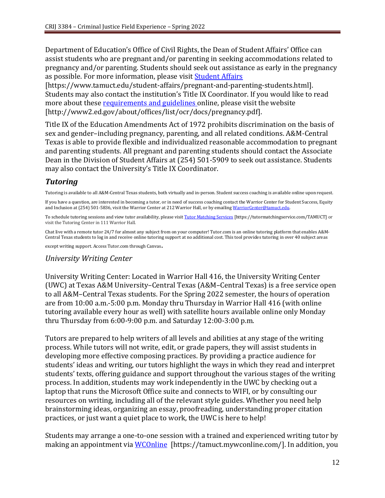Department of Education's Office of Civil Rights, the Dean of Student Affairs' Office can assist students who are pregnant and/or parenting in seeking accommodations related to pregnancy and/or parenting. Students should seek out assistance as early in the pregnancy as possible. For more information, please visi[t Student Affairs](https://www.tamuct.edu/student-affairs/pregnant-and-parenting-students.html)

[https://www.tamuct.edu/student-affairs/pregnant-and-parenting-students.html]. Students may also contact the institution's Title IX Coordinator. If you would like to read more about these [requirements and guidelines](http://www2.ed.gov/about/offices/list/ocr/docs/pregnancy.pdf) online, please visit the website [http://www2.ed.gov/about/offices/list/ocr/docs/pregnancy.pdf].

Title IX of the Education Amendments Act of 1972 prohibits discrimination on the basis of sex and gender–including pregnancy, parenting, and all related conditions. A&M-Central Texas is able to provide flexible and individualized reasonable accommodation to pregnant and parenting students. All pregnant and parenting students should contact the Associate Dean in the Division of Student Affairs at (254) 501-5909 to seek out assistance. Students may also contact the University's Title IX Coordinator.

## *Tutoring*

Tutoring is available to all A&M-Central Texas students, both virtually and in-person. Student success coaching is available online upon request.

If you have a question, are interested in becoming a tutor, or in need of success coaching contact the Warrior Center for Student Success, Equity and Inclusion at (254) 501-5836, visit the Warrior Center at 212 Warrior Hall, or by emailing [WarriorCenter@tamuct.edu.](mailto:WarriorCenter@tamuct.edu)

To schedule tutoring sessions and view tutor availability, please visit Tutor [Matching](https://tutormatchingservice.com/TAMUCT) Services [https://tutormatchingservice.com/TAMUCT] or visit the Tutoring Center in 111 Warrior Hall.

Chat live with a remote tutor 24/7 for almost any subject from on your computer! Tutor.com is an online tutoring platform that enables A&M-Central Texas students to log in and receive online tutoring support at no additional cost. This tool provides tutoring in over 40 subject areas

except writing support. Access Tutor.com through Canvas.

#### *University Writing Center*

University Writing Center: Located in Warrior Hall 416, the University Writing Center (UWC) at Texas A&M University–Central Texas (A&M–Central Texas) is a free service open to all A&M–Central Texas students. For the Spring 2022 semester, the hours of operation are from 10:00 a.m.-5:00 p.m. Monday thru Thursday in Warrior Hall 416 (with online tutoring available every hour as well) with satellite hours available online only Monday thru Thursday from 6:00-9:00 p.m. and Saturday 12:00-3:00 p.m.

Tutors are prepared to help writers of all levels and abilities at any stage of the writing process. While tutors will not write, edit, or grade papers, they will assist students in developing more effective composing practices. By providing a practice audience for students' ideas and writing, our tutors highlight the ways in which they read and interpret students' texts, offering guidance and support throughout the various stages of the writing process. In addition, students may work independently in the UWC by checking out a laptop that runs the Microsoft Office suite and connects to WIFI, or by consulting our resources on writing, including all of the relevant style guides. Whether you need help brainstorming ideas, organizing an essay, proofreading, understanding proper citation practices, or just want a quiet place to work, the UWC is here to help!

Students may arrange a one-to-one session with a trained and experienced writing tutor by making an appointment via [WCOnline](https://tamuct.mywconline.com/) [https://tamuct.mywconline.com/]. In addition, you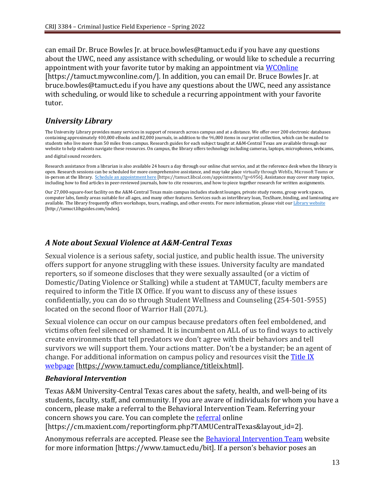can email Dr. Bruce Bowles Jr. at bruce.bowles@tamuct.edu if you have any questions about the UWC, need any assistance with scheduling, or would like to schedule a recurring appointment with your favorite tutor by making an appointment via [WCOnline](https://tamuct.mywconline.com/) [https://tamuct.mywconline.com/]. In addition, you can email Dr. Bruce Bowles Jr. at bruce.bowles@tamuct.edu if you have any questions about the UWC, need any assistance with scheduling, or would like to schedule a recurring appointment with your favorite tutor.

#### *University Library*

The University Library provides many services in support of research across campus and at a distance. We offer over 200 electronic databases containing approximately 400,000 eBooks and 82,000 journals, in addition to the 96,000 items in our print collection, which can be mailed to students who live more than 50 miles from campus. Research guides for each subject taught at A&M-Central Texas are available through our website to help students navigate these resources. On campus, the library offers technology including cameras, laptops, microphones, webcams, and digital sound recorders.

Research assistance from a librarian is also available 24 hours a day through our online chat service, and at the reference desk when the library is open. Research sessions can be scheduled for more comprehensive assistance, and may take place virtually through WebEx, Microsoft Teams or in-person at the library. Schedule an [appointment](https://nam04.safelinks.protection.outlook.com/?url=https%3A%2F%2Ftamuct.libcal.com%2Fappointments%2F%3Fg%3D6956&data=04%7C01%7Clisa.bunkowski%40tamuct.edu%7Cde2c07d9f5804f09518008d9ab7ba6ff%7C9eed4e3000f744849ff193ad8005acec%7C0%7C0%7C637729369835011558%7CUnknown%7CTWFpbGZsb3d8eyJWIjoiMC4wLjAwMDAiLCJQIjoiV2luMzIiLCJBTiI6Ik1haWwiLCJXVCI6Mn0%3D%7C3000&sdata=KhtjgRSAw9aq%2FoBsB6wyu8b7PSuGN5EGPypzr3Ty2No%3D&reserved=0) here [https://tamuct.libcal.com/appointments/?g=6956]. Assistance may cover many topics, including how to find articles in peer-reviewed journals, how to cite resources, and how to piece together research for written assignments.

Our 27,000-square-foot facility on the A&M-Central Texas main campus includes student lounges, private study rooms, group work spaces, computer labs, family areas suitable for all ages, and many other features. Services such as interlibrary loan, TexShare, binding, and laminating are available. The library frequently offers workshops, tours, readings, and other events. For more information, please visit our Library [website](https://nam04.safelinks.protection.outlook.com/?url=https%3A%2F%2Ftamuct.libguides.com%2Findex&data=04%7C01%7Clisa.bunkowski%40tamuct.edu%7C7d8489e8839a4915335f08d916f067f2%7C9eed4e3000f744849ff193ad8005acec%7C0%7C0%7C637566044056484222%7CUnknown%7CTWFpbGZsb3d8eyJWIjoiMC4wLjAwMDAiLCJQIjoiV2luMzIiLCJBTiI6Ik1haWwiLCJXVCI6Mn0%3D%7C1000&sdata=2R755V6rcIyedGrd4Os5rkgn1PvhHKU3kUV1vBKiHFo%3D&reserved=0) [http://tamuct.libguides.com/index].

#### *A Note about Sexual Violence at A&M-Central Texas*

Sexual violence is a serious safety, social justice, and public health issue. The university offers support for anyone struggling with these issues. University faculty are mandated reporters, so if someone discloses that they were sexually assaulted (or a victim of Domestic/Dating Violence or Stalking) while a student at TAMUCT, faculty members are required to inform the Title IX Office. If you want to discuss any of these issues confidentially, you can do so through Student Wellness and Counseling (254-501-5955) located on the second floor of Warrior Hall (207L).

Sexual violence can occur on our campus because predators often feel emboldened, and victims often feel silenced or shamed. It is incumbent on ALL of us to find ways to actively create environments that tell predators we don't agree with their behaviors and tell survivors we will support them. Your actions matter. Don't be a bystander; be an agent of change. For additional information on campus policy and resources visit th[e Title IX](https://www.tamuct.edu/compliance/titleix.html)  [webpage](https://www.tamuct.edu/compliance/titleix.html) [\[https://www.tamuct.edu/compliance/titleix.html\]](https://www.tamuct.edu/compliance/titleix.html).

#### *Behavioral Intervention*

Texas A&M University-Central Texas cares about the safety, health, and well-being of its students, faculty, staff, and community. If you are aware of individuals for whom you have a concern, please make a referral to the Behavioral Intervention Team. Referring your concern shows you care. You can complete the [referral](https://cm.maxient.com/reportingform.php?TAMUCentralTexas&layout_id=2) online [https://cm.maxient.com/reportingform.php?TAMUCentralTexas&layout\_id=2].

Anonymous referrals are accepted. Please see the **Behavioral Intervention Team** website for more information [https://www.tamuct.edu/bit]. If a person's behavior poses an